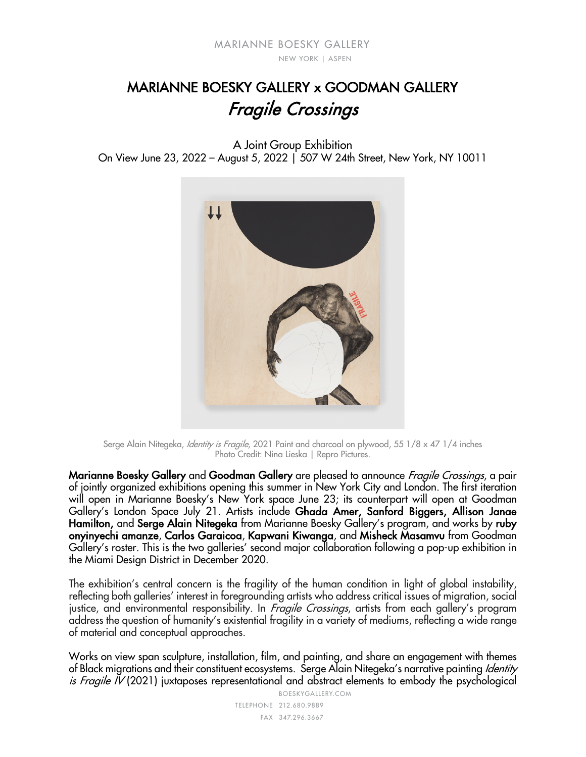# MARIANNE BOESKY GALLERY x GOODMAN GALLERY Fragile Crossings

A Joint Group Exhibition

On View June 23, 2022 – August 5, 2022 | 507 W 24th Street, New York, NY 10011



Serge Alain Nitegeka, *Identity is Fragile*, 2021 Paint and charcoal on plywood, 55 1/8 x 47 1/4 inches Photo Credit: Nina Lieska | Repro Pictures.

Marianne Boesky Gallery and Goodman Gallery are pleased to announce *Fragile Crossings*, a pair of jointly organized exhibitions opening this summer in New York City and London. The first iteration will open in Marianne Boesky's New York space June 23; its counterpart will open at Goodman Gallery's London Space July 21. Artists include Ghada Amer, Sanford Biggers, Allison Janae Hamilton, and Serge Alain Nitegeka from Marianne Boesky Gallery's program, and works by ruby onyinyechi amanze, Carlos Garaicoa, Kapwani Kiwanga, and Misheck Masamvu from Goodman Gallery's roster. This is the two galleries' second major collaboration following a pop-up exhibition in the Miami Design District in December 2020.

The exhibition's central concern is the fragility of the human condition in light of global instability, reflecting both galleries' interest in foregrounding artists who address critical issues of migration, social justice, and environmental responsibility. In *Fragile Crossings*, artists from each gallery's program address the question of humanity's existential fragility in a variety of mediums, reflecting a wide range of material and conceptual approaches.

BOESKYGALLERY.COM Works on view span sculpture, installation, film, and painting, and share an engagement with themes of Black migrations and their constituent ecosystems. Serge Alain Nitegeka's narrative painting Identity is Fragile IV (2021) juxtaposes representational and abstract elements to embody the psychological

212.680.9889 TELEPHONE 347.296.3667 FAX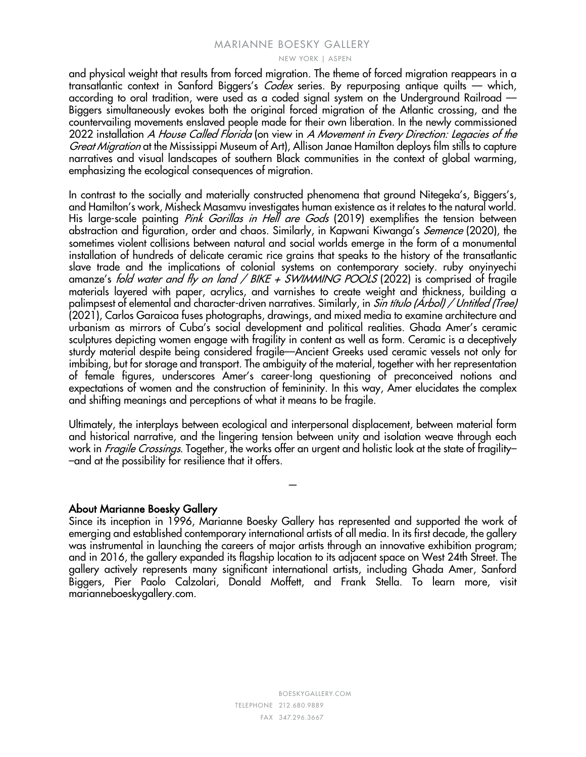#### MARIANNE BOESKY GALLERY

NEW YORK | ASPEN

and physical weight that results from forced migration. The theme of forced migration reappears in a transatlantic context in Sanford Biggers's *Codex* series. By repurposing antique quilts — which, according to oral tradition, were used as a coded signal system on the Underground Railroad –– Biggers simultaneously evokes both the original forced migration of the Atlantic crossing, and the countervailing movements enslaved people made for their own liberation. In the newly commissioned 2022 installation A House Called Florida (on view in A Movement in Every Direction: Legacies of the Great Migration at the Mississippi Museum of Art), Allison Janae Hamilton deploys film stills to capture narratives and visual landscapes of southern Black communities in the context of global warming, emphasizing the ecological consequences of migration.

In contrast to the socially and materially constructed phenomena that ground Nitegeka's, Biggers's, and Hamilton's work, Misheck Masamvu investigates human existence as it relates to the natural world. His large-scale painting Pink Gorillas in Hell are Gods (2019) exemplifies the tension between abstraction and figuration, order and chaos. Similarly, in Kapwani Kiwanga's *Semence* (2020), the sometimes violent collisions between natural and social worlds emerge in the form of a monumental installation of hundreds of delicate ceramic rice grains that speaks to the history of the transatlantic slave trade and the implications of colonial systems on contemporary society. ruby onyinyechi amanze's fold water and fly on land / BIKE + SWIMMING POOLS (2022) is comprised of fragile materials layered with paper, acrylics, and varnishes to create weight and thickness, building a palimpsest of elemental and character-driven narratives. Similarly, in Sin título (Árbol) / Untitled (Tree) (2021), Carlos Garaicoa fuses photographs, drawings, and mixed media to examine architecture and urbanism as mirrors of Cuba's social development and political realities. Ghada Amer's ceramic sculptures depicting women engage with fragility in content as well as form. Ceramic is a deceptively sturdy material despite being considered fragile––Ancient Greeks used ceramic vessels not only for imbibing, but for storage and transport. The ambiguity of the material, together with her representation of female figures, underscores Amer's career-long questioning of preconceived notions and expectations of women and the construction of femininity. In this way, Amer elucidates the complex and shifting meanings and perceptions of what it means to be fragile.

Ultimately, the interplays between ecological and interpersonal displacement, between material form and historical narrative, and the lingering tension between unity and isolation weave through each work in *Fragile Crossings*. Together, the works offer an urgent and holistic look at the state of fragility-–and at the possibility for resilience that it offers.

—

## About Marianne Boesky Gallery

Since its inception in 1996, Marianne Boesky Gallery has represented and supported the work of emerging and established contemporary international artists of all media. In its first decade, the gallery was instrumental in launching the careers of major artists through an innovative exhibition program; and in 2016, the gallery expanded its flagship location to its adjacent space on West 24th Street. The gallery actively represents many significant international artists, including Ghada Amer, Sanford Biggers, Pier Paolo Calzolari, Donald Moffett, and Frank Stella. To learn more, visit marianneboeskygallery.com.